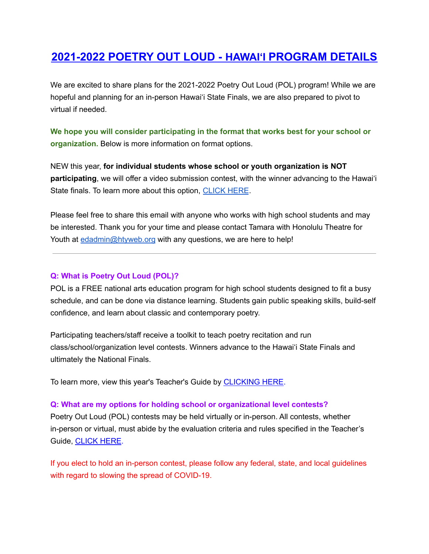# **2021-2022 POETRY OUT LOUD - HAWAIʻI PROGRAM DETAILS**

We are excited to share plans for the 2021-2022 Poetry Out Loud (POL) program! While we are hopeful and planning for an in-person Hawaiʻi State Finals, we are also prepared to pivot to virtual if needed.

**We hope you will consider participating in the format that works best for your school or organization.** Below is more information on format options.

NEW this year, **for individual students whose school or youth organization is NOT participating**, we will offer a video submission contest, with the winner advancing to the Hawaiʻi State finals. To learn more about this option, [CLICK](https://drive.google.com/file/d/1TBmTLSZ7cNwaxznwWSdA4Pim4Wdz2hVu/view?usp=sharing) HERE.

Please feel free to share this email with anyone who works with high school students and may be interested. Thank you for your time and please contact Tamara with Honolulu Theatre for Youth at [edadmin@htyweb.org](mailto:edadmin@htyweb.org) with any questions, we are here to help!

#### **Q: What is Poetry Out Loud (POL)?**

POL is a FREE national arts education program for high school students designed to fit a busy schedule, and can be done via distance learning. Students gain public speaking skills, build-self confidence, and learn about classic and contemporary poetry.

Participating teachers/staff receive a toolkit to teach poetry recitation and run class/school/organization level contests. Winners advance to the Hawaiʻi State Finals and ultimately the National Finals.

To learn more, view this year's Teacher's Guide by [CLICKING](https://www.poetryoutloud.org/wp-content/uploads/sites/2/2021/08/POL_TG-2021-2022.pdf) HERE.

#### **Q: What are my options for holding school or organizational level contests?**

Poetry Out Loud (POL) contests may be held virtually or in-person. All contests, whether in-person or virtual, must abide by the evaluation criteria and rules specified in the Teacher's Guide, [CLICK](https://www.poetryoutloud.org/wp-content/uploads/sites/2/2021/08/POL_TG-2021-2022.pdf) HERE.

If you elect to hold an in-person contest, please follow any federal, state, and local guidelines with regard to slowing the spread of COVID-19.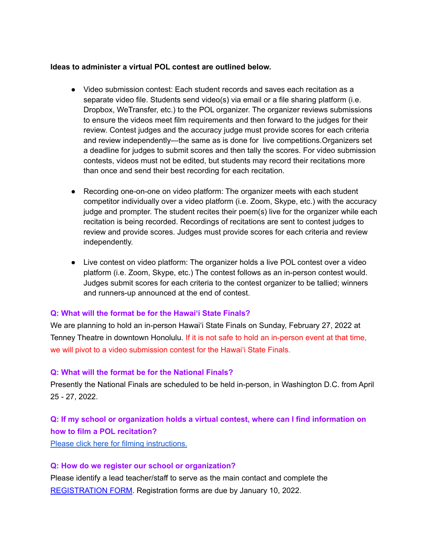#### **Ideas to administer a virtual POL contest are outlined below.**

- Video submission contest: Each student records and saves each recitation as a separate video file. Students send video(s) via email or a file sharing platform (i.e. Dropbox, WeTransfer, etc.) to the POL organizer. The organizer reviews submissions to ensure the videos meet film requirements and then forward to the judges for their review. Contest judges and the accuracy judge must provide scores for each criteria and review independently—the same as is done for live competitions.Organizers set a deadline for judges to submit scores and then tally the scores. For video submission contests, videos must not be edited, but students may record their recitations more than once and send their best recording for each recitation.
- Recording one-on-one on video platform: The organizer meets with each student competitor individually over a video platform (i.e. Zoom, Skype, etc.) with the accuracy judge and prompter. The student recites their poem(s) live for the organizer while each recitation is being recorded. Recordings of recitations are sent to contest judges to review and provide scores. Judges must provide scores for each criteria and review independently.
- Live contest on video platform: The organizer holds a live POL contest over a video platform (i.e. Zoom, Skype, etc.) The contest follows as an in-person contest would. Judges submit scores for each criteria to the contest organizer to be tallied; winners and runners-up announced at the end of contest.

#### **Q: What will the format be for the Hawaiʻi State Finals?**

We are planning to hold an in-person Hawaiʻi State Finals on Sunday, February 27, 2022 at Tenney Theatre in downtown Honolulu. If it is not safe to hold an in-person event at that time, we will pivot to a video submission contest for the Hawaiʻi State Finals.

#### **Q: What will the format be for the National Finals?**

Presently the National Finals are scheduled to be held in-person, in Washington D.C. from April 25 - 27, 2022.

## **Q: If my school or organization holds a virtual contest, where can I find information on how to film a POL recitation?**

Please click here for filming [instructions.](https://www.poetryoutloud.org/wp-content/uploads/sites/2/2021/08/How-To-Film-a-POL-Recitation-for-a-Virtual-Contest_21-22.pdf)

#### **Q: How do we register our school or organization?**

Please identify a lead teacher/staff to serve as the main contact and complete the [REGISTRATION](https://forms.gle/JtYiwfSK77KdQs1E8) FORM. Registration forms are due by January 10, 2022.